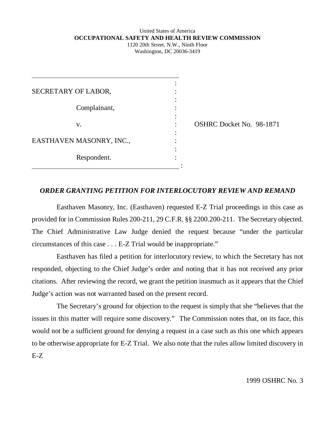### United States of America **OCCUPATIONAL SAFETY AND HEALTH REVIEW COMMISSION** 1120 20th Street, N.W., Ninth Floor

Washington, DC 20036-3419

| SECRETARY OF LABOR,      |  |
|--------------------------|--|
|                          |  |
| Complainant,             |  |
|                          |  |
| V.                       |  |
|                          |  |
| EASTHAVEN MASONRY, INC., |  |
|                          |  |
| Respondent.              |  |

:

 $\ddot{\phantom{a}}$ 

OSHRC Docket No. 98-1871

#### *ORDER GRANTING PETITION FOR INTERLOCUTORY REVIEW AND REMAND*

Easthaven Masonry, Inc. (Easthaven) requested E-Z Trial proceedings in this case as provided for in Commission Rules 200-211, 29 C.F.R. §§ 2200.200-211. The Secretary objected. The Chief Administrative Law Judge denied the request because "under the particular circumstances of this case . . . E-Z Trial would be inappropriate."

Easthaven has filed a petition for interlocutory review, to which the Secretary has not responded, objecting to the Chief Judge's order and noting that it has not received any prior citations. After reviewing the record, we grant the petition inasmuch as it appears that the Chief Judge's action was not warranted based on the present record.

The Secretary's ground for objection to the request is simply that she "believes that the issues in this matter will require some discovery." The Commission notes that, on its face, this would not be a sufficient ground for denying a request in a case such as this one which appears to be otherwise appropriate for E-Z Trial. We also note that the rules allow limited discovery in E-Z

1999 OSHRC No. 3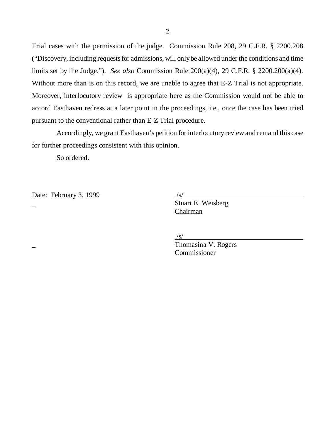Trial cases with the permission of the judge. Commission Rule 208, 29 C.F.R. § 2200.208 ("Discovery, including requests for admissions, will only be allowed under the conditions and time limits set by the Judge."). *See also* Commission Rule 200(a)(4), 29 C.F.R. § 2200.200(a)(4). Without more than is on this record, we are unable to agree that E-Z Trial is not appropriate. Moreover, interlocutory review is appropriate here as the Commission would not be able to accord Easthaven redress at a later point in the proceedings, i.e., once the case has been tried pursuant to the conventional rather than E-Z Trial procedure.

Accordingly, we grant Easthaven's petition for interlocutory review and remand this case for further proceedings consistent with this opinion.

So ordered.

Date: February 3, 1999

 Stuart E. Weisberg Chairman

 $\sqrt{s}$ 

 Thomasina V. Rogers Commissioner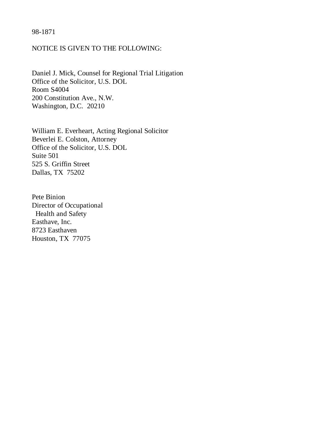### 98-1871

### NOTICE IS GIVEN TO THE FOLLOWING:

Daniel J. Mick, Counsel for Regional Trial Litigation Office of the Solicitor, U.S. DOL Room S4004 200 Constitution Ave., N.W. Washington, D.C. 20210

William E. Everheart, Acting Regional Solicitor Beverlei E. Colston, Attorney Office of the Solicitor, U.S. DOL Suite 501 525 S. Griffin Street Dallas, TX 75202

Pete Binion Director of Occupational Health and Safety Easthave, Inc. 8723 Easthaven Houston, TX 77075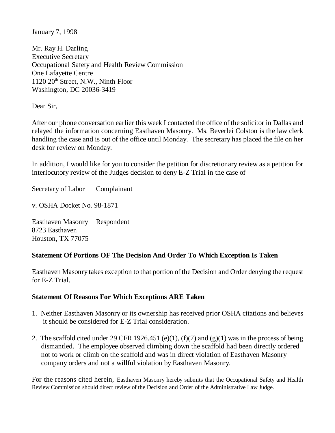January 7, 1998

Mr. Ray H. Darling Executive Secretary Occupational Safety and Health Review Commission One Lafayette Centre 1120 20th Street, N.W., Ninth Floor Washington, DC 20036-3419

Dear Sir,

After our phone conversation earlier this week I contacted the office of the solicitor in Dallas and relayed the information concerning Easthaven Masonry. Ms. Beverlei Colston is the law clerk handling the case and is out of the office until Monday. The secretary has placed the file on her desk for review on Monday.

In addition, I would like for you to consider the petition for discretionary review as a petition for interlocutory review of the Judges decision to deny E-Z Trial in the case of

Secretary of Labor Complainant

v. OSHA Docket No. 98-1871

Easthaven Masonry Respondent 8723 Easthaven Houston, TX 77075

# **Statement Of Portions OF The Decision And Order To Which Exception Is Taken**

Easthaven Masonry takes exception to that portion of the Decision and Order denying the request for E-Z Trial.

# **Statement Of Reasons For Which Exceptions ARE Taken**

- 1. Neither Easthaven Masonry or its ownership has received prior OSHA citations and believes it should be considered for E-Z Trial consideration.
- 2. The scaffold cited under 29 CFR 1926.451 (e)(1), (f)(7) and (g)(1) was in the process of being dismantled. The employee observed climbing down the scaffold had been directly ordered not to work or climb on the scaffold and was in direct violation of Easthaven Masonry company orders and not a willful violation by Easthaven Masonry.

For the reasons cited herein, Easthaven Masonry hereby submits that the Occupational Safety and Health Review Commission should direct review of the Decision and Order of the Administrative Law Judge.